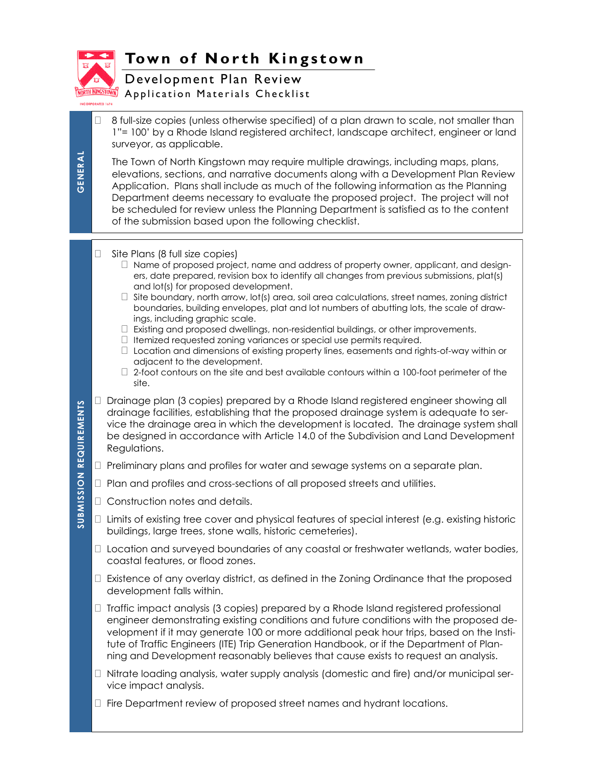

GENERAL **GENERAL**

## **Town of North Kingstown**

Development Plan Review

**My** Application Materials Checklist

 $\Box$  8 full-size copies (unless otherwise specified) of a plan drawn to scale, not smaller than 1"= 100' by a Rhode Island registered architect, landscape architect, engineer or land surveyor, as applicable.

The Town of North Kingstown may require multiple drawings, including maps, plans, elevations, sections, and narrative documents along with a Development Plan Review Application. Plans shall include as much of the following information as the Planning Department deems necessary to evaluate the proposed project. The project will not be scheduled for review unless the Planning Department is satisfied as to the content of the submission based upon the following checklist.

## $\Box$  Site Plans (8 full size copies)

- Name of proposed project, name and address of property owner, applicant, and designers, date prepared, revision box to identify all changes from previous submissions, plat(s) and lot(s) for proposed development.
- $\Box$  Site boundary, north arrow, lot(s) area, soil area calculations, street names, zoning district boundaries, building envelopes, plat and lot numbers of abutting lots, the scale of drawings, including graphic scale.
- $\Box$  Existing and proposed dwellings, non-residential buildings, or other improvements.
- $\Box$  Itemized requested zoning variances or special use permits required.
- $\Box$  Location and dimensions of existing property lines, easements and rights-of-way within or adjacent to the development.
- $\Box$  2-foot contours on the site and best available contours within a 100-foot perimeter of the site.
- $\Box$  Drainage plan (3 copies) prepared by a Rhode Island registered engineer showing all drainage facilities, establishing that the proposed drainage system is adequate to service the drainage area in which the development is located. The drainage system shall be designed in accordance with Article 14.0 of the Subdivision and Land Development Regulations.
- $\Box$  Preliminary plans and profiles for water and sewage systems on a separate plan.
- Plan and profiles and cross-sections of all proposed streets and utilities.
- □ Construction notes and details.
- $\Box$  Limits of existing tree cover and physical features of special interest (e.g. existing historic buildings, large trees, stone walls, historic cemeteries).
- $\Box$  Location and surveyed boundaries of any coastal or freshwater wetlands, water bodies, coastal features, or flood zones.
- $\Box$  Existence of any overlay district, as defined in the Zoning Ordinance that the proposed development falls within.
- $\Box$  Traffic impact analysis (3 copies) prepared by a Rhode Island registered professional engineer demonstrating existing conditions and future conditions with the proposed development if it may generate 100 or more additional peak hour trips, based on the Institute of Traffic Engineers (ITE) Trip Generation Handbook, or if the Department of Planning and Development reasonably believes that cause exists to request an analysis.
- $\Box$  Nitrate loading analysis, water supply analysis (domestic and fire) and/or municipal service impact analysis.
- Fire Department review of proposed street names and hydrant locations.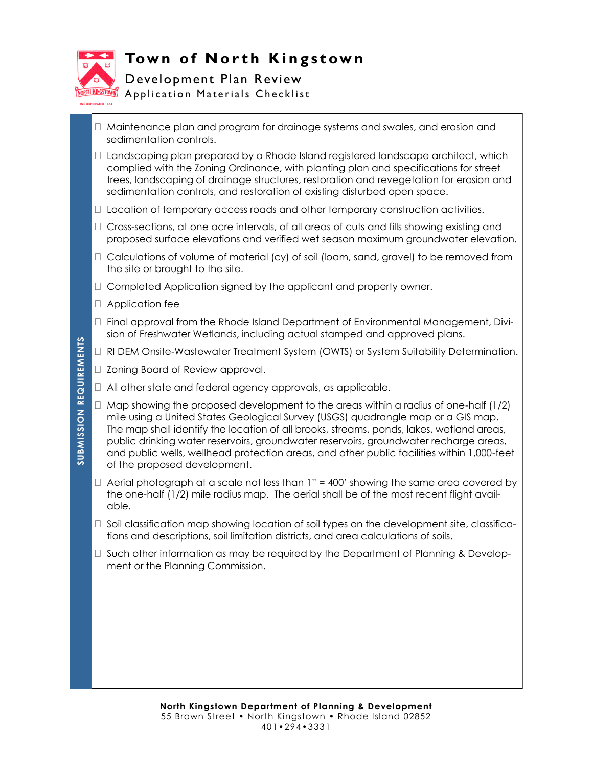

## **Town of North Kingstown**

Development Plan Review **M** Application Materials Checklist

- $\Box$  Maintenance plan and program for drainage systems and swales, and erosion and sedimentation controls.
- $\Box$  Landscaping plan prepared by a Rhode Island registered landscape architect, which complied with the Zoning Ordinance, with planting plan and specifications for street trees, landscaping of drainage structures, restoration and revegetation for erosion and sedimentation controls, and restoration of existing disturbed open space.
- $\Box$  Location of temporary access roads and other temporary construction activities.
- $\Box$  Cross-sections, at one acre intervals, of all areas of cuts and fills showing existing and proposed surface elevations and verified wet season maximum groundwater elevation.
- $\Box$  Calculations of volume of material (cy) of soil (loam, sand, gravel) to be removed from the site or brought to the site.
- $\Box$  Completed Application signed by the applicant and property owner.
- Application fee
- $\Box$  Final approval from the Rhode Island Department of Environmental Management, Division of Freshwater Wetlands, including actual stamped and approved plans.
- □ RI DEM Onsite-Wastewater Treatment System (OWTS) or System Suitability Determination.
- □ Zoning Board of Review approval.
- All other state and federal agency approvals, as applicable.
- $\Box$  Map showing the proposed development to the areas within a radius of one-half (1/2) mile using a United States Geological Survey (USGS) quadrangle map or a GIS map. The map shall identify the location of all brooks, streams, ponds, lakes, wetland areas, public drinking water reservoirs, groundwater reservoirs, groundwater recharge areas, and public wells, wellhead protection areas, and other public facilities within 1,000-feet of the proposed development.
- $\Box$  Aerial photograph at a scale not less than 1" = 400' showing the same area covered by the one-half (1/2) mile radius map. The aerial shall be of the most recent flight available.
- $\Box$  Soil classification map showing location of soil types on the development site, classifications and descriptions, soil limitation districts, and area calculations of soils.
- $\Box$  Such other information as may be required by the Department of Planning & Development or the Planning Commission.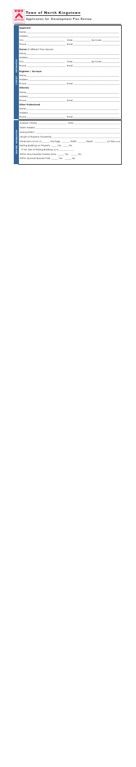

## Town of North Kingstown

**ROOFIT ASSESSIONS** Application for Development Plan Review

| <b>INFORMATION</b><br><b>CONTACT</b> | <b>Applicant</b>                                                                                                                                                                                                               |        |  |  |  |
|--------------------------------------|--------------------------------------------------------------------------------------------------------------------------------------------------------------------------------------------------------------------------------|--------|--|--|--|
|                                      |                                                                                                                                                                                                                                |        |  |  |  |
|                                      |                                                                                                                                                                                                                                |        |  |  |  |
|                                      |                                                                                                                                                                                                                                |        |  |  |  |
|                                      |                                                                                                                                                                                                                                |        |  |  |  |
|                                      | <b>Owner</b> (if different than above)                                                                                                                                                                                         |        |  |  |  |
|                                      | Name experience and the state of the state of the state of the state of the state of the state of the state of the state of the state of the state of the state of the state of the state of the state of the state of the sta |        |  |  |  |
|                                      |                                                                                                                                                                                                                                |        |  |  |  |
|                                      |                                                                                                                                                                                                                                |        |  |  |  |
|                                      |                                                                                                                                                                                                                                |        |  |  |  |
|                                      | Engineer / Surveyor                                                                                                                                                                                                            |        |  |  |  |
|                                      |                                                                                                                                                                                                                                |        |  |  |  |
|                                      |                                                                                                                                                                                                                                |        |  |  |  |
|                                      |                                                                                                                                                                                                                                |        |  |  |  |
|                                      | Attorney                                                                                                                                                                                                                       |        |  |  |  |
|                                      |                                                                                                                                                                                                                                |        |  |  |  |
|                                      |                                                                                                                                                                                                                                |        |  |  |  |
|                                      |                                                                                                                                                                                                                                |        |  |  |  |
|                                      | <b>Other Professional</b>                                                                                                                                                                                                      |        |  |  |  |
|                                      |                                                                                                                                                                                                                                |        |  |  |  |
|                                      |                                                                                                                                                                                                                                |        |  |  |  |
|                                      |                                                                                                                                                                                                                                |        |  |  |  |
| <b>PROPERTY INFORMATION</b>          | Assessor's Plat(s)                                                                                                                                                                                                             | Lot(s) |  |  |  |
|                                      | Street Address and the contract of the contract of the contract of the contract of the contract of the contract of the contract of the contract of the contract of the contract of the contract of the contract of the contrac |        |  |  |  |
|                                      |                                                                                                                                                                                                                                |        |  |  |  |
|                                      |                                                                                                                                                                                                                                |        |  |  |  |
|                                      | Dimensions of Lot (ft) _________ Frontage _________ Width _________Depth _____________Lot Size (sq ft)                                                                                                                         |        |  |  |  |
|                                      | Existing Buildings on Property _____ Yes _____ No                                                                                                                                                                              |        |  |  |  |
|                                      | If Yes, Size of Existing Buildings (sq ft) _____________                                                                                                                                                                       |        |  |  |  |
|                                      | Within Groundwater Overlay Zone _______ Yes _______ No                                                                                                                                                                         |        |  |  |  |
|                                      | Within Quonset Business Park ______ Yes _____ No                                                                                                                                                                               |        |  |  |  |
|                                      |                                                                                                                                                                                                                                |        |  |  |  |